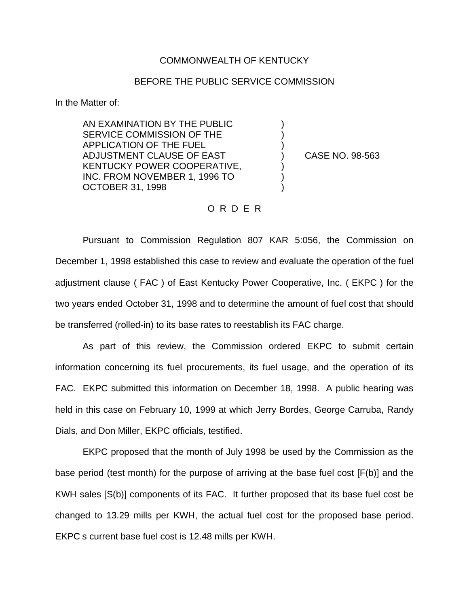#### COMMONWEALTH OF KENTUCKY

#### BEFORE THE PUBLIC SERVICE COMMISSION

) ) )

) ) )

In the Matter of:

AN EXAMINATION BY THE PUBLIC SERVICE COMMISSION OF THE APPLICATION OF THE FUEL ADJUSTMENT CLAUSE OF EAST KENTUCKY POWER COOPERATIVE, INC. FROM NOVEMBER 1, 1996 TO OCTOBER 31, 1998

) CASE NO. 98-563

#### O R D E R

Pursuant to Commission Regulation 807 KAR 5:056, the Commission on December 1, 1998 established this case to review and evaluate the operation of the fuel adjustment clause ( FAC ) of East Kentucky Power Cooperative, Inc. ( EKPC ) for the two years ended October 31, 1998 and to determine the amount of fuel cost that should be transferred (rolled-in) to its base rates to reestablish its FAC charge.

As part of this review, the Commission ordered EKPC to submit certain information concerning its fuel procurements, its fuel usage, and the operation of its FAC. EKPC submitted this information on December 18, 1998. A public hearing was held in this case on February 10, 1999 at which Jerry Bordes, George Carruba, Randy Dials, and Don Miller, EKPC officials, testified.

EKPC proposed that the month of July 1998 be used by the Commission as the base period (test month) for the purpose of arriving at the base fuel cost [F(b)] and the KWH sales [S(b)] components of its FAC. It further proposed that its base fuel cost be changed to 13.29 mills per KWH, the actual fuel cost for the proposed base period. EKPC s current base fuel cost is 12.48 mills per KWH.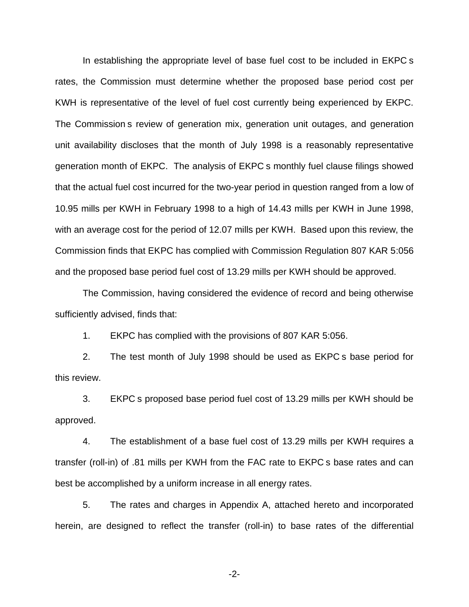In establishing the appropriate level of base fuel cost to be included in EKPC s rates, the Commission must determine whether the proposed base period cost per KWH is representative of the level of fuel cost currently being experienced by EKPC. The Commission s review of generation mix, generation unit outages, and generation unit availability discloses that the month of July 1998 is a reasonably representative generation month of EKPC. The analysis of EKPC s monthly fuel clause filings showed that the actual fuel cost incurred for the two-year period in question ranged from a low of 10.95 mills per KWH in February 1998 to a high of 14.43 mills per KWH in June 1998, with an average cost for the period of 12.07 mills per KWH. Based upon this review, the Commission finds that EKPC has complied with Commission Regulation 807 KAR 5:056 and the proposed base period fuel cost of 13.29 mills per KWH should be approved.

The Commission, having considered the evidence of record and being otherwise sufficiently advised, finds that:

1. EKPC has complied with the provisions of 807 KAR 5:056.

2. The test month of July 1998 should be used as EKPC s base period for this review.

3. EKPC s proposed base period fuel cost of 13.29 mills per KWH should be approved.

4. The establishment of a base fuel cost of 13.29 mills per KWH requires a transfer (roll-in) of .81 mills per KWH from the FAC rate to EKPC s base rates and can best be accomplished by a uniform increase in all energy rates.

5. The rates and charges in Appendix A, attached hereto and incorporated herein, are designed to reflect the transfer (roll-in) to base rates of the differential

-2-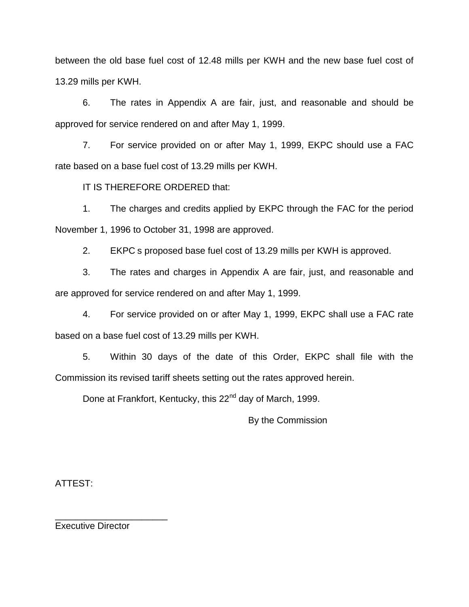between the old base fuel cost of 12.48 mills per KWH and the new base fuel cost of 13.29 mills per KWH.

6. The rates in Appendix A are fair, just, and reasonable and should be approved for service rendered on and after May 1, 1999.

7. For service provided on or after May 1, 1999, EKPC should use a FAC rate based on a base fuel cost of 13.29 mills per KWH.

IT IS THEREFORE ORDERED that:

1. The charges and credits applied by EKPC through the FAC for the period November 1, 1996 to October 31, 1998 are approved.

2. EKPC s proposed base fuel cost of 13.29 mills per KWH is approved.

3. The rates and charges in Appendix A are fair, just, and reasonable and are approved for service rendered on and after May 1, 1999.

4. For service provided on or after May 1, 1999, EKPC shall use a FAC rate based on a base fuel cost of 13.29 mills per KWH.

5. Within 30 days of the date of this Order, EKPC shall file with the Commission its revised tariff sheets setting out the rates approved herein.

Done at Frankfort, Kentucky, this 22<sup>nd</sup> day of March, 1999.

By the Commission

ATTEST:

Executive Director

\_\_\_\_\_\_\_\_\_\_\_\_\_\_\_\_\_\_\_\_\_\_